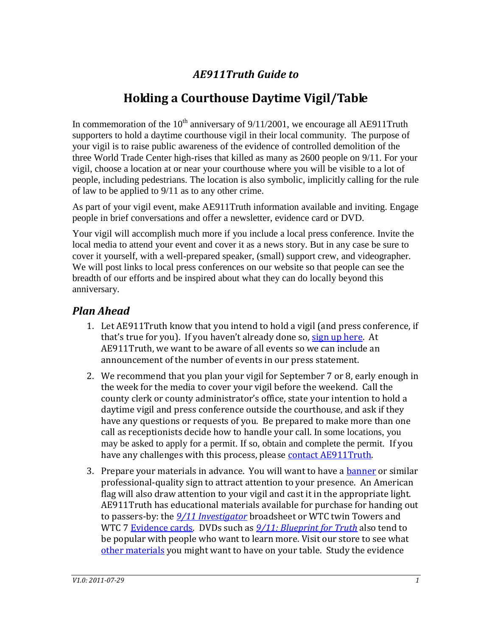## *AE911Truth Guide to*

# **Holding a Courthouse Daytime Vigil/Table**

In commemoration of the  $10^{th}$  anniversary of  $9/11/2001$ , we encourage all AE911Truth supporters to hold a daytime courthouse vigil in their local community. The purpose of your vigil is to raise public awareness of the evidence of controlled demolition of the three World Trade Center high-rises that killed as many as 2600 people on 9/11. For your vigil, choose a location at or near your courthouse where you will be visible to a lot of people, including pedestrians. The location is also symbolic, implicitly calling for the rule of law to be applied to 9/11 as to any other crime.

As part of your vigil event, make AE911Truth information available and inviting. Engage people in brief conversations and offer a newsletter, evidence card or DVD.

Your vigil will accomplish much more if you include a local press conference. Invite the local media to attend your event and cover it as a news story. But in any case be sure to cover it yourself, with a well-prepared speaker, (small) support crew, and videographer. We will post links to local press conferences on our website so that people can see the breadth of our efforts and be inspired about what they can do locally beyond this anniversary.

#### *Plan Ahead*

- 1. Let AE911Truth know that you intend to hold a vigil (and press conference, if that's true for you). If you haven't already done so, [sign up here.](http://www.ae911truth.org/take-action/533-10th-anniversary-project.html#signup) At AE911Truth, we want to be aware of all events so we can include an announcement of the number of events in our press statement.
- 2. We recommend that you plan your vigil for September 7 or 8, early enough in the week for the media to cover your vigil before the weekend. Call the county clerk or county administrator's office, state your intention to hold a daytime vigil and press conference outside the courthouse, and ask if they have any questions or requests of you. Be prepared to make more than one call as receptionists decide how to handle your call. In some locations, you may be asked to apply for a permit. If so, obtain and complete the permit. If you have any challenges with this process, please contact AE911Truth.
- 3. Prepare your materials in advance. You will want to have a **banner or similar** professional-quality sign to attract attention to your presence. An American flag will also draw attention to your vigil and cast it in the appropriate light. AE911Truth has educational materials available for purchase for handing out to passers-by: the *[9/11 Investigator](http://www.ae911truth.net/store/product_info.php?cPath=27&products_id=122)* broadsheet or WTC twin Towers and WTC 7 [Evidence cards.](http://www.ae911truth.net/store/index.php?cPath=25) DVDs such as *[9/11: Blueprint](http://www.ae911truth.net/store/index.php?cPath=24) for Truth* also tend to be popular with people who want to learn more. Visit our store to see what [other materials](https://www.ae911truth.net/store/) you might want to have on your table. Study the evidence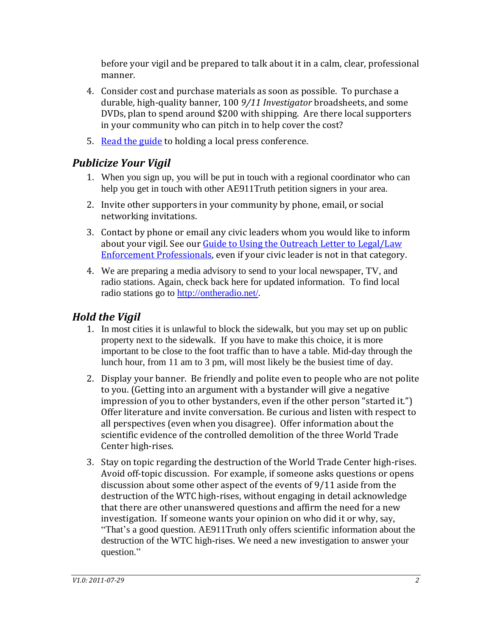before your vigil and be prepared to talk about it in a calm, clear, professional manner.

- 4. Consider cost and purchase materials as soon as possible. To purchase a durable, high-quality banner, 100 *9/11 Investigator* broadsheets, and some DVDs, plan to spend around \$200 with shipping. Are there local supporters in your community who can pitch in to help cover the cost?
- 5. [Read the guide](http://ae911truth.org/documents/Press_Conference_Guide.pdf) to holding a local press conference.

## *Publicize Your Vigil*

- 1. When you sign up, you will be put in touch with a regional coordinator who can help you get in touch with other AE911Truth petition signers in your area.
- 2. Invite other supporters in your community by phone, email, or social networking invitations.
- 3. Contact by phone or email any civic leaders whom you would like to inform about your vigil. See our *Guide to Using the Outreach Letter to Legal/Law* [Enforcement Professionals,](http://ae911truth.org/documents/Guide_Legal_Law_Enforcement_2011-07-29.doc) even if your civic leader is not in that category.
- 4. We are preparing a media advisory to send to your local newspaper, TV, and radio stations. Again, check back here for updated information. To find local radio stations go to<http://ontheradio.net/>.

### *Hold the Vigil*

- 1. In most cities it is unlawful to block the sidewalk, but you may set up on public property next to the sidewalk. If you have to make this choice, it is more important to be close to the foot traffic than to have a table. Mid-day through the lunch hour, from 11 am to 3 pm, will most likely be the busiest time of day.
- 2. Display your banner. Be friendly and polite even to people who are not polite to you. (Getting into an argument with a bystander will give a negative impression of you to other bystanders, even if the other person "started it.") Offer literature and invite conversation. Be curious and listen with respect to all perspectives (even when you disagree). Offer information about the scientific evidence of the controlled demolition of the three World Trade Center high-rises.
- 3. Stay on topic regarding the destruction of the World Trade Center high-rises. Avoid off-topic discussion. For example, if someone asks questions or opens discussion about some other aspect of the events of 9/11 aside from the destruction of the WTC high-rises, without engaging in detail acknowledge that there are other unanswered questions and affirm the need for a new investigation. If someone wants your opinion on who did it or why, say, "That's a good question. AE911Truth only offers scientific information about the destruction of the WTC high-rises. We need a new investigation to answer your question."